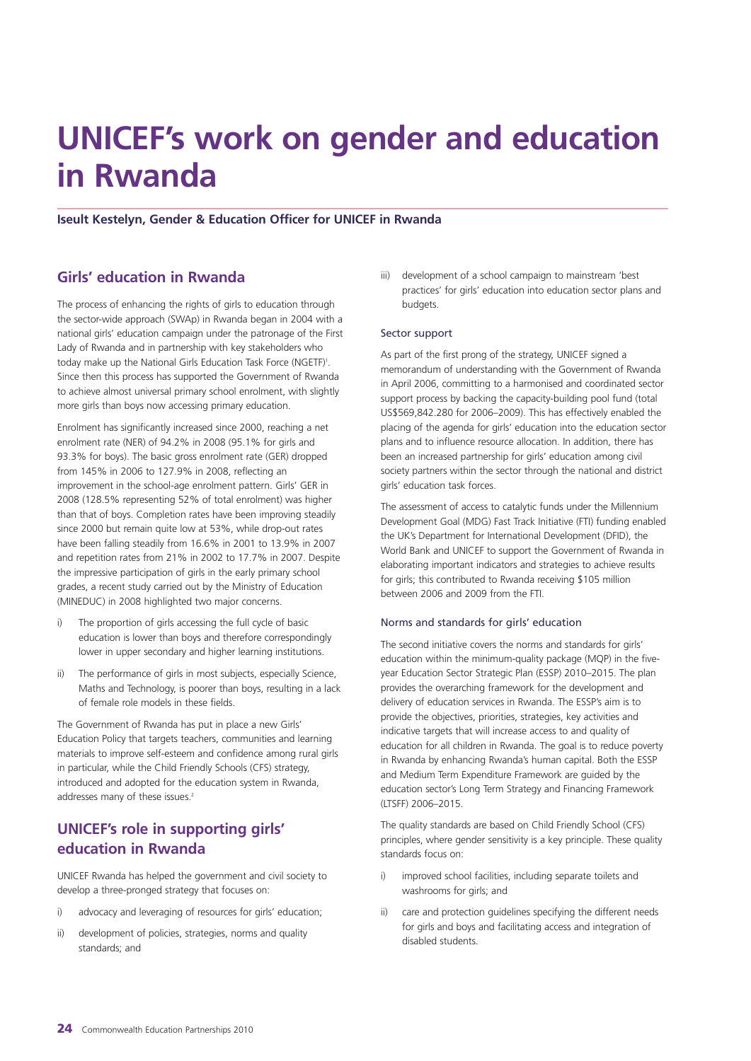# **UNICEF's work on gender and education in Rwanda**

### **Iseult Kestelyn, Gender & Education Officer for UNICEF in Rwanda**

## **Girls' education in Rwanda**

The process of enhancing the rights of girls to education through the sector-wide approach (SWAp) in Rwanda began in 2004 with a national girls' education campaign under the patronage of the First Lady of Rwanda and in partnership with key stakeholders who today make up the National Girls Education Task Force (NGETF)<sup>1</sup>. Since then this process has supported the Government of Rwanda to achieve almost universal primary school enrolment, with slightly more girls than boys now accessing primary education.

Enrolment has significantly increased since 2000, reaching a net enrolment rate (NER) of 94.2% in 2008 (95.1% for girls and 93.3% for boys). The basic gross enrolment rate (GER) dropped from 145% in 2006 to 127.9% in 2008, reflecting an improvement in the school-age enrolment pattern. Girls' GER in 2008 (128.5% representing 52% of total enrolment) was higher than that of boys. Completion rates have been improving steadily since 2000 but remain quite low at 53%, while drop-out rates have been falling steadily from 16.6% in 2001 to 13.9% in 2007 and repetition rates from 21% in 2002 to 17.7% in 2007. Despite the impressive participation of girls in the early primary school grades, a recent study carried out by the Ministry of Education (MINEDUC) in 2008 highlighted two major concerns.

- i) The proportion of girls accessing the full cycle of basic education is lower than boys and therefore correspondingly lower in upper secondary and higher learning institutions.
- ii) The performance of girls in most subjects, especially Science, Maths and Technology, is poorer than boys, resulting in a lack of female role models in these fields.

The Government of Rwanda has put in place a new Girls' Education Policy that targets teachers, communities and learning materials to improve self-esteem and confidence among rural girls in particular, while the Child Friendly Schools (CFS) strategy, introduced and adopted for the education system in Rwanda, addresses many of these issues.<sup>2</sup>

## **UNICEF's role in supporting girls' education in Rwanda**

UNICEF Rwanda has helped the government and civil society to develop a three-pronged strategy that focuses on:

- i) advocacy and leveraging of resources for girls' education;
- ii) development of policies, strategies, norms and quality standards; and

iii) development of a school campaign to mainstream 'best practices' for girls' education into education sector plans and budgets.

#### Sector support

As part of the first prong of the strategy, UNICEF signed a memorandum of understanding with the Government of Rwanda in April 2006, committing to a harmonised and coordinated sector support process by backing the capacity-building pool fund (total US\$569,842.280 for 2006–2009). This has effectively enabled the placing of the agenda for girls' education into the education sector plans and to influence resource allocation. In addition, there has been an increased partnership for girls' education among civil society partners within the sector through the national and district girls' education task forces.

The assessment of access to catalytic funds under the Millennium Development Goal (MDG) Fast Track Initiative (FTI) funding enabled the UK's Department for International Development (DFID), the World Bank and UNICEF to support the Government of Rwanda in elaborating important indicators and strategies to achieve results for girls; this contributed to Rwanda receiving \$105 million between 2006 and 2009 from the FTI.

#### Norms and standards for girls' education

The second initiative covers the norms and standards for girls' education within the minimum-quality package (MQP) in the fiveyear Education Sector Strategic Plan (ESSP) 2010–2015. The plan provides the overarching framework for the development and delivery of education services in Rwanda. The ESSP's aim is to provide the objectives, priorities, strategies, key activities and indicative targets that will increase access to and quality of education for all children in Rwanda. The goal is to reduce poverty in Rwanda by enhancing Rwanda's human capital. Both the ESSP and Medium Term Expenditure Framework are guided by the education sector's Long Term Strategy and Financing Framework (LTSFF) 2006–2015.

The quality standards are based on Child Friendly School (CFS) principles, where gender sensitivity is a key principle. These quality standards focus on:

- i) improved school facilities, including separate toilets and washrooms for girls; and
- ii) care and protection guidelines specifying the different needs for girls and boys and facilitating access and integration of disabled students.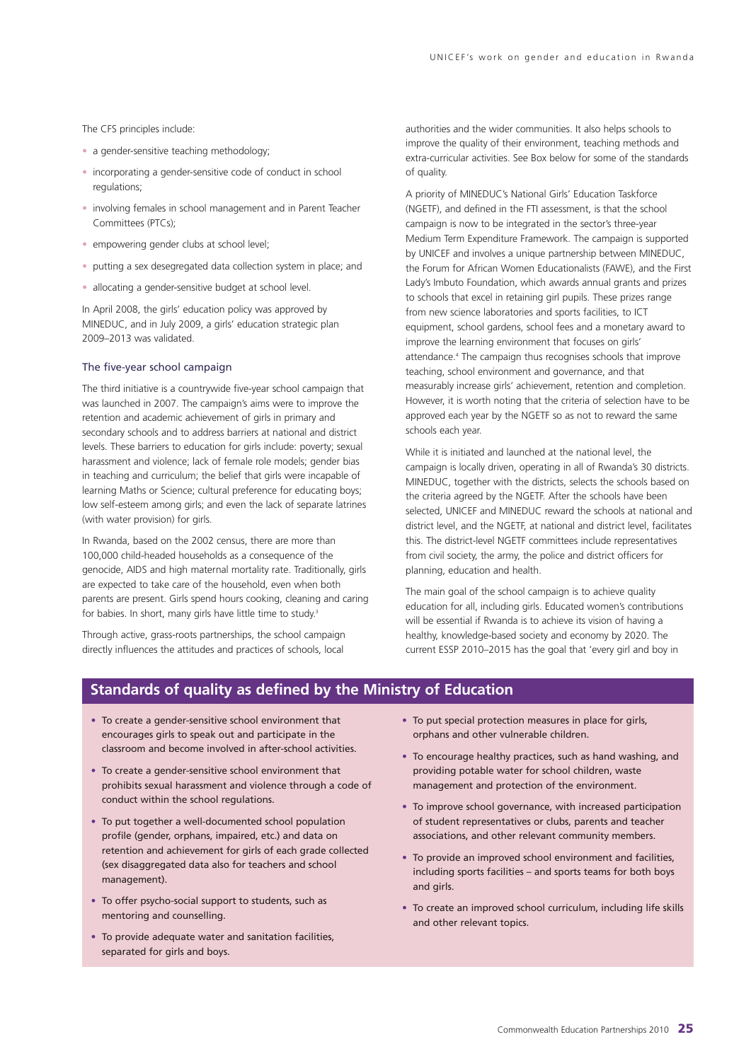The CFS principles include:

- a gender-sensitive teaching methodology;
- incorporating a gender-sensitive code of conduct in school regulations;
- involving females in school management and in Parent Teacher Committees (PTCs);
- empowering gender clubs at school level;
- putting a sex desegregated data collection system in place; and
- allocating a gender-sensitive budget at school level.

In April 2008, the girls' education policy was approved by MINEDUC, and in July 2009, a girls' education strategic plan 2009–2013 was validated.

#### The five-year school campaign

The third initiative is a countrywide five-year school campaign that was launched in 2007. The campaign's aims were to improve the retention and academic achievement of girls in primary and secondary schools and to address barriers at national and district levels. These barriers to education for girls include: poverty; sexual harassment and violence; lack of female role models; gender bias in teaching and curriculum; the belief that girls were incapable of learning Maths or Science; cultural preference for educating boys; low self-esteem among girls; and even the lack of separate latrines (with water provision) for girls.

In Rwanda, based on the 2002 census, there are more than 100,000 child-headed households as a consequence of the genocide, AIDS and high maternal mortality rate. Traditionally, girls are expected to take care of the household, even when both parents are present. Girls spend hours cooking, cleaning and caring for babies. In short, many girls have little time to study.<sup>3</sup>

Through active, grass-roots partnerships, the school campaign directly influences the attitudes and practices of schools, local

authorities and the wider communities. It also helps schools to improve the quality of their environment, teaching methods and extra-curricular activities. See Box below for some of the standards of quality.

A priority of MINEDUC's National Girls' Education Taskforce (NGETF), and defined in the FTI assessment, is that the school campaign is now to be integrated in the sector's three-year Medium Term Expenditure Framework. The campaign is supported by UNICEF and involves a unique partnership between MINEDUC, the Forum for African Women Educationalists (FAWE), and the First Lady's Imbuto Foundation, which awards annual grants and prizes to schools that excel in retaining girl pupils. These prizes range from new science laboratories and sports facilities, to ICT equipment, school gardens, school fees and a monetary award to improve the learning environment that focuses on girls' attendance.4 The campaign thus recognises schools that improve teaching, school environment and governance, and that measurably increase girls' achievement, retention and completion. However, it is worth noting that the criteria of selection have to be approved each year by the NGETF so as not to reward the same schools each year.

While it is initiated and launched at the national level, the campaign is locally driven, operating in all of Rwanda's 30 districts. MINEDUC, together with the districts, selects the schools based on the criteria agreed by the NGETF. After the schools have been selected, UNICEF and MINEDUC reward the schools at national and district level, and the NGETF, at national and district level, facilitates this. The district-level NGETF committees include representatives from civil society, the army, the police and district officers for planning, education and health.

The main goal of the school campaign is to achieve quality education for all, including girls. Educated women's contributions will be essential if Rwanda is to achieve its vision of having a healthy, knowledge-based society and economy by 2020. The current ESSP 2010–2015 has the goal that 'every girl and boy in

## **Standards of quality as defined by the Ministry of Education**

- To create a gender-sensitive school environment that encourages girls to speak out and participate in the classroom and become involved in after-school activities.
- To create a gender-sensitive school environment that prohibits sexual harassment and violence through a code of conduct within the school regulations.
- To put together a well-documented school population profile (gender, orphans, impaired, etc.) and data on retention and achievement for girls of each grade collected (sex disaggregated data also for teachers and school management).
- To offer psycho-social support to students, such as mentoring and counselling.
- To provide adequate water and sanitation facilities, separated for girls and boys.
- To put special protection measures in place for girls, orphans and other vulnerable children.
- To encourage healthy practices, such as hand washing, and providing potable water for school children, waste management and protection of the environment.
- To improve school governance, with increased participation of student representatives or clubs, parents and teacher associations, and other relevant community members.
- To provide an improved school environment and facilities, including sports facilities – and sports teams for both boys and girls.
- To create an improved school curriculum, including life skills and other relevant topics.